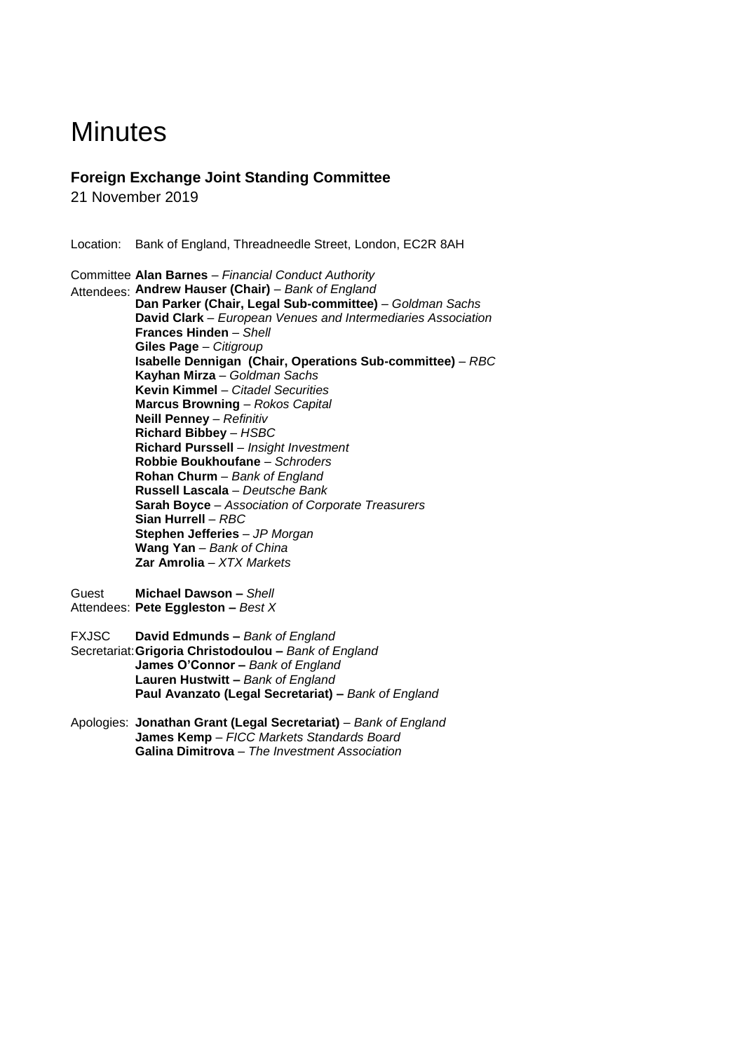# **Minutes**

# **Foreign Exchange Joint Standing Committee**

21 November 2019

Location: Bank of England, Threadneedle Street, London, EC2R 8AH

Committee **Alan Barnes** – *Financial Conduct Authority* Attendees: **Andrew Hauser (Chair)** – *Bank of England* **Dan Parker (Chair, Legal Sub-committee)** – *Goldman Sachs* **David Clark** – *European Venues and Intermediaries Association* **Frances Hinden** – *Shell* **Giles Page** – *Citigroup* **Isabelle Dennigan (Chair, Operations Sub-committee)** – *RBC* **Kayhan Mirza** – *Goldman Sachs* **Kevin Kimmel** – *Citadel Securities* **Marcus Browning** – *Rokos Capital* **Neill Penney** – *Refinitiv* **Richard Bibbey** – *HSBC* **Richard Purssell** – *Insight Investment* **Robbie Boukhoufane** – *Schroders* **Rohan Churm** – *Bank of England* **Russell Lascala** – *Deutsche Bank* **Sarah Boyce** – *Association of Corporate Treasurers* **Sian Hurrell** – *RBC* **Stephen Jefferies** – *JP Morgan* **Wang Yan** – *Bank of China* **Zar Amrolia** – *XTX Markets*

- Guest Attendees: **Pete Eggleston –** *Best X* **Michael Dawson –** *Shell*
- FXJSC Secretariat: **Grigoria Christodoulou –** *Bank of England* **David Edmunds –** *Bank of England* **James O'Connor –** *Bank of England* **Lauren Hustwitt –** *Bank of England* **Paul Avanzato (Legal Secretariat)** *– Bank of England*
- Apologies: **Jonathan Grant (Legal Secretariat)** *– Bank of England* **James Kemp** – *FICC Markets Standards Board* **Galina Dimitrova** – *The Investment Association*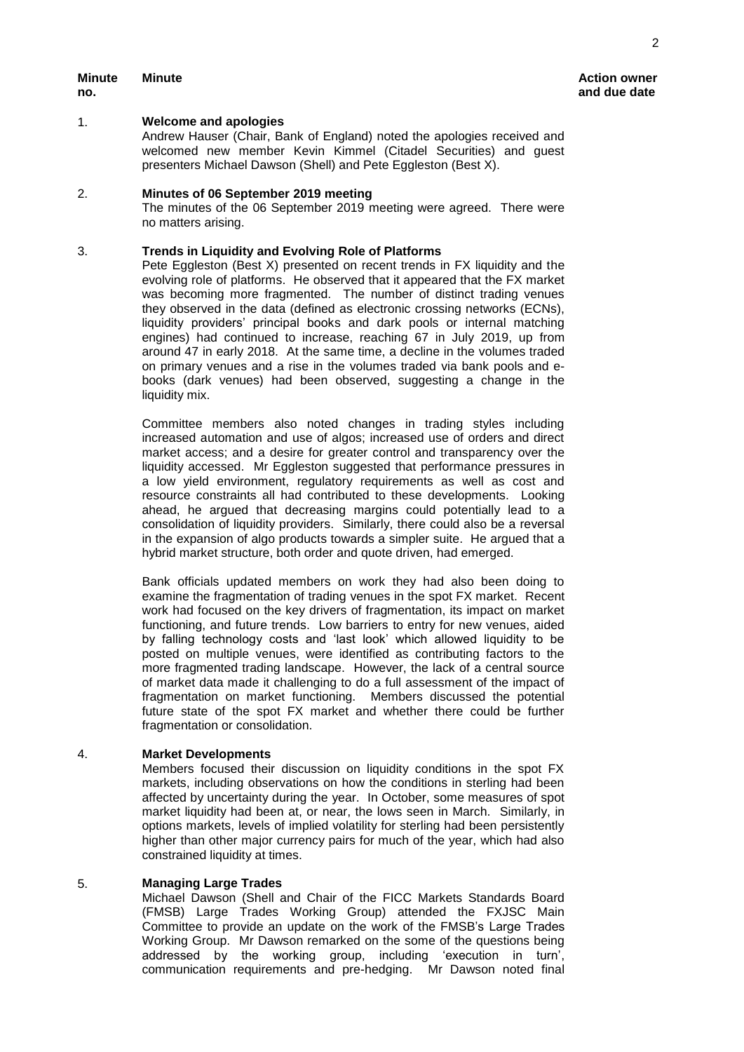# 1. **Welcome and apologies**

Andrew Hauser (Chair, Bank of England) noted the apologies received and welcomed new member Kevin Kimmel (Citadel Securities) and guest presenters Michael Dawson (Shell) and Pete Eggleston (Best X).

# 2. **Minutes of 06 September 2019 meeting**

The minutes of the 06 September 2019 meeting were agreed. There were no matters arising.

#### 3. **Trends in Liquidity and Evolving Role of Platforms**

Pete Eggleston (Best X) presented on recent trends in FX liquidity and the evolving role of platforms. He observed that it appeared that the FX market was becoming more fragmented. The number of distinct trading venues they observed in the data (defined as electronic crossing networks (ECNs), liquidity providers' principal books and dark pools or internal matching engines) had continued to increase, reaching 67 in July 2019, up from around 47 in early 2018. At the same time, a decline in the volumes traded on primary venues and a rise in the volumes traded via bank pools and ebooks (dark venues) had been observed, suggesting a change in the liquidity mix.

Committee members also noted changes in trading styles including increased automation and use of algos; increased use of orders and direct market access; and a desire for greater control and transparency over the liquidity accessed. Mr Eggleston suggested that performance pressures in a low yield environment, regulatory requirements as well as cost and resource constraints all had contributed to these developments. Looking ahead, he argued that decreasing margins could potentially lead to a consolidation of liquidity providers. Similarly, there could also be a reversal in the expansion of algo products towards a simpler suite. He argued that a hybrid market structure, both order and quote driven, had emerged.

Bank officials updated members on work they had also been doing to examine the fragmentation of trading venues in the spot FX market. Recent work had focused on the key drivers of fragmentation, its impact on market functioning, and future trends. Low barriers to entry for new venues, aided by falling technology costs and 'last look' which allowed liquidity to be posted on multiple venues, were identified as contributing factors to the more fragmented trading landscape. However, the lack of a central source of market data made it challenging to do a full assessment of the impact of fragmentation on market functioning. Members discussed the potential future state of the spot FX market and whether there could be further fragmentation or consolidation.

# 4. **Market Developments**

Members focused their discussion on liquidity conditions in the spot FX markets, including observations on how the conditions in sterling had been affected by uncertainty during the year. In October, some measures of spot market liquidity had been at, or near, the lows seen in March. Similarly, in options markets, levels of implied volatility for sterling had been persistently higher than other major currency pairs for much of the year, which had also constrained liquidity at times.

# 5. **Managing Large Trades**

Michael Dawson (Shell and Chair of the FICC Markets Standards Board (FMSB) Large Trades Working Group) attended the FXJSC Main Committee to provide an update on the work of the FMSB's Large Trades Working Group. Mr Dawson remarked on the some of the questions being addressed by the working group, including 'execution in turn', communication requirements and pre-hedging. Mr Dawson noted final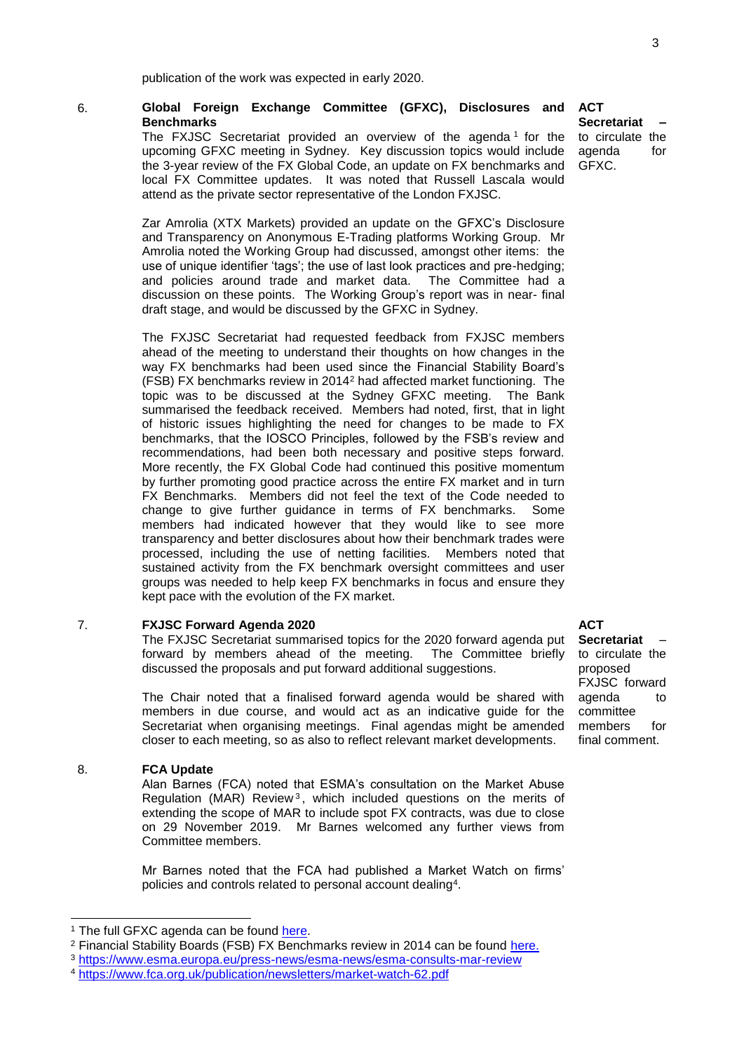#### 6. **Global Foreign Exchange Committee (GFXC), Disclosures and ACT Benchmarks**

The FXJSC Secretariat provided an overview of the agenda  $1$  for the upcoming GFXC meeting in Sydney. Key discussion topics would include the 3-year review of the FX Global Code, an update on FX benchmarks and local FX Committee updates. It was noted that Russell Lascala would attend as the private sector representative of the London FXJSC.

Zar Amrolia (XTX Markets) provided an update on the GFXC's Disclosure and Transparency on Anonymous E-Trading platforms Working Group. Mr Amrolia noted the Working Group had discussed, amongst other items: the use of unique identifier 'tags'; the use of last look practices and pre-hedging; and policies around trade and market data. The Committee had a discussion on these points. The Working Group's report was in near- final draft stage, and would be discussed by the GFXC in Sydney.

The FXJSC Secretariat had requested feedback from FXJSC members ahead of the meeting to understand their thoughts on how changes in the way FX benchmarks had been used since the Financial Stability Board's (FSB) FX benchmarks review in 2014<sup>2</sup> had affected market functioning. The topic was to be discussed at the Sydney GFXC meeting. The Bank summarised the feedback received. Members had noted, first, that in light of historic issues highlighting the need for changes to be made to FX benchmarks, that the IOSCO Principles, followed by the FSB's review and recommendations, had been both necessary and positive steps forward. More recently, the FX Global Code had continued this positive momentum by further promoting good practice across the entire FX market and in turn FX Benchmarks. Members did not feel the text of the Code needed to change to give further guidance in terms of FX benchmarks. Some members had indicated however that they would like to see more transparency and better disclosures about how their benchmark trades were processed, including the use of netting facilities. Members noted that sustained activity from the FX benchmark oversight committees and user groups was needed to help keep FX benchmarks in focus and ensure they kept pace with the evolution of the FX market.

#### 7. **FXJSC Forward Agenda 2020**

The FXJSC Secretariat summarised topics for the 2020 forward agenda put forward by members ahead of the meeting. The Committee briefly discussed the proposals and put forward additional suggestions.

The Chair noted that a finalised forward agenda would be shared with members in due course, and would act as an indicative guide for the Secretariat when organising meetings. Final agendas might be amended closer to each meeting, so as also to reflect relevant market developments.

# 8. **FCA Update**

1

Alan Barnes (FCA) noted that ESMA's consultation on the Market Abuse Regulation (MAR) Review<sup>3</sup>, which included questions on the merits of extending the scope of MAR to include spot FX contracts, was due to close on 29 November 2019. Mr Barnes welcomed any further views from Committee members.

Mr Barnes noted that the FCA had published a Market Watch on firms' policies and controls related to personal account dealing<sup>4</sup>.

**ACT Secretariat** –

to circulate the proposed FXJSC forward agenda to committee members for final comment.

**Secretariat –**

to circulate the agenda for GFXC.

<sup>&</sup>lt;sup>1</sup> The full GFXC agenda can be found [here.](https://www.globalfxc.org/events/20191204_agenda.pdf)

<sup>&</sup>lt;sup>2</sup> Financial Stability Boards (FSB) FX Benchmarks review in 2014 can be found [here.](https://www.fsb.org/2014/09/r_140930/)

<sup>3</sup> <https://www.esma.europa.eu/press-news/esma-news/esma-consults-mar-review>

<sup>4</sup> <https://www.fca.org.uk/publication/newsletters/market-watch-62.pdf>